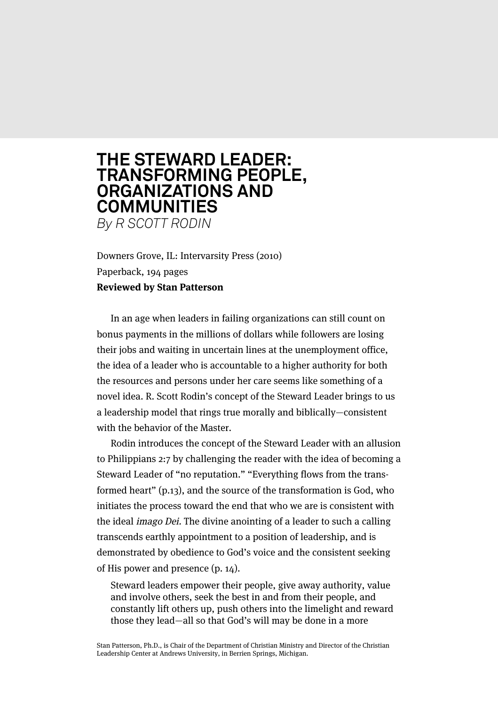## **THE STEWARD LEADER: TRANSFORMING PEOPLE, ORGANIZATIONS AND COMMUNITIES**

*By R SCOTT RODIN*

Downers Grove, IL: Intervarsity Press (2010) Paperback, 194 pages **Reviewed by Stan Patterson**

In an age when leaders in failing organizations can still count on bonus payments in the millions of dollars while followers are losing their jobs and waiting in uncertain lines at the unemployment office, the idea of a leader who is accountable to a higher authority for both the resources and persons under her care seems like something of a novel idea. R. Scott Rodin's concept of the Steward Leader brings to us a leadership model that rings true morally and biblically—consistent with the behavior of the Master.

Rodin introduces the concept of the Steward Leader with an allusion to Philippians 2:7 by challenging the reader with the idea of becoming a Steward Leader of "no reputation." "Everything flows from the transformed heart" (p.13), and the source of the transformation is God, who initiates the process toward the end that who we are is consistent with the ideal imago Dei. The divine anointing of a leader to such a calling transcends earthly appointment to a position of leadership, and is demonstrated by obedience to God's voice and the consistent seeking of His power and presence (p. 14).

Steward leaders empower their people, give away authority, value and involve others, seek the best in and from their people, and constantly lift others up, push others into the limelight and reward those they lead—all so that God's will may be done in a more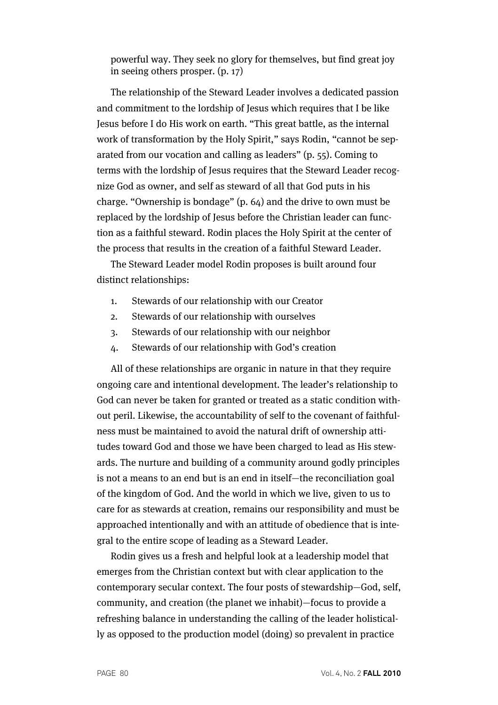powerful way. They seek no glory for themselves, but find great joy in seeing others prosper. (p. 17)

The relationship of the Steward Leader involves a dedicated passion and commitment to the lordship of Jesus which requires that I be like Jesus before I do His work on earth. "This great battle, as the internal work of transformation by the Holy Spirit," says Rodin, "cannot be separated from our vocation and calling as leaders" (p. 55). Coming to terms with the lordship of Jesus requires that the Steward Leader recognize God as owner, and self as steward of all that God puts in his charge. "Ownership is bondage" (p. 64) and the drive to own must be replaced by the lordship of Jesus before the Christian leader can function as a faithful steward. Rodin places the Holy Spirit at the center of the process that results in the creation of a faithful Steward Leader.

The Steward Leader model Rodin proposes is built around four distinct relationships:

- 1. Stewards of our relationship with our Creator
- 2. Stewards of our relationship with ourselves
- 3. Stewards of our relationship with our neighbor
- 4. Stewards of our relationship with God's creation

All of these relationships are organic in nature in that they require ongoing care and intentional development. The leader's relationship to God can never be taken for granted or treated as a static condition without peril. Likewise, the accountability of self to the covenant of faithfulness must be maintained to avoid the natural drift of ownership attitudes toward God and those we have been charged to lead as His stewards. The nurture and building of a community around godly principles is not a means to an end but is an end in itself—the reconciliation goal of the kingdom of God. And the world in which we live, given to us to care for as stewards at creation, remains our responsibility and must be approached intentionally and with an attitude of obedience that is integral to the entire scope of leading as a Steward Leader.

Rodin gives us a fresh and helpful look at a leadership model that emerges from the Christian context but with clear application to the contemporary secular context. The four posts of stewardship—God, self, community, and creation (the planet we inhabit)—focus to provide a refreshing balance in understanding the calling of the leader holistically as opposed to the production model (doing) so prevalent in practice